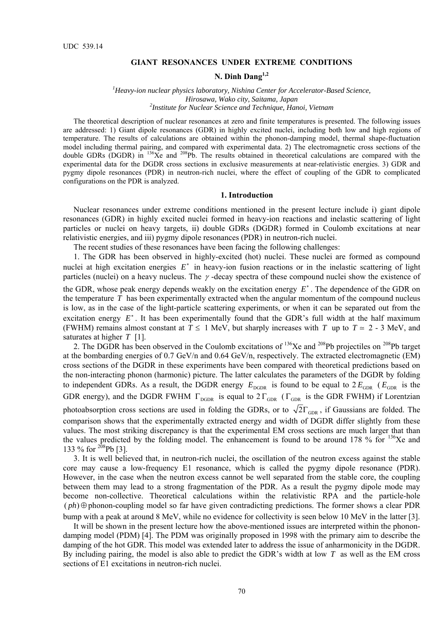## **GIANT RESONANCES UNDER EXTREME CONDITIONS**

# **N. Dinh Dang1,2**

## *1 Heavy-ion nuclear physics laboratory, Nishina Center for Accelerator-Based Science, Hirosawa, Wako city, Saitama, Japan 2 Institute for Nuclear Science and Technique, Hanoi, Vietnam*

The theoretical description of nuclear resonances at zero and finite temperatures is presented. The following issues are addressed: 1) Giant dipole resonances (GDR) in highly excited nuclei, including both low and high regions of temperature. The results of calculations are obtained within the phonon-damping model, thermal shape-fluctuation model including thermal pairing, and compared with experimental data. 2) The electromagnetic cross sections of the double GDRs (DGDR) in  $^{136}Xe$  and  $^{208}Pb$ . The results obtained in theoretical calculations are compared with the experimental data for the DGDR cross sections in exclusive measurements at near-relativistic energies. 3) GDR and pygmy dipole resonances (PDR) in neutron-rich nuclei, where the effect of coupling of the GDR to complicated configurations on the PDR is analyzed.

#### **1. Introduction**

Nuclear resonances under extreme conditions mentioned in the present lecture include i) giant dipole resonances (GDR) in highly excited nuclei formed in heavy-ion reactions and inelastic scattering of light particles or nuclei on heavy targets, ii) double GDRs (DGDR) formed in Coulomb excitations at near relativistic energies, and iii) pygmy dipole resonances (PDR) in neutron-rich nuclei.

The recent studies of these resonances have been facing the following challenges:

1. The GDR has been observed in highly-excited (hot) nuclei. These nuclei are formed as compound nuclei at high excitation energies *E*<sup>∗</sup> in heavy-ion fusion reactions or in the inelastic scattering of light particles (nuclei) on a heavy nucleus. The  $\gamma$ -decay spectra of these compound nuclei show the existence of the GDR, whose peak energy depends weakly on the excitation energy *E*<sup>∗</sup> . The dependence of the GDR on the temperature *T* has been experimentally extracted when the angular momentum of the compound nucleus is low, as in the case of the light-particle scattering experiments, or when it can be separated out from the excitation energy E<sup>∗</sup>. It has been experimentally found that the GDR's full width at the half maximum (FWHM) remains almost constant at  $T \le 1$  MeV, but sharply increases with *T* up to  $T \approx 2$  - 3 MeV, and saturates at higher *T* [1].

2. The DGDR has been observed in the Coulomb excitations of  $136Xe$  and  $208Pb$  projectiles on  $208Pb$  target at the bombarding energies of 0.7 GeV/n and 0.64 GeV/n, respectively. The extracted electromagnetic (EM) cross sections of the DGDR in these experiments have been compared with theoretical predictions based on the non-interacting phonon (harmonic) picture. The latter calculates the parameters of the DGDR by folding to independent GDRs. As a result, the DGDR energy  $E_{\text{DGDR}}$  is found to be equal to  $2 E_{\text{GDR}}$  ( $E_{\text{GDR}}$  is the GDR energy), and the DGDR FWHM  $\Gamma_{\text{DGDR}}$  is equal to  $2 \Gamma_{\text{GDR}}$  ( $\Gamma_{\text{GDR}}$  is the GDR FWHM) if Lorentzian photoabsorption cross sections are used in folding the GDRs, or to  $\sqrt{2}\Gamma_{\text{GDR}}$ , if Gaussians are folded. The comparison shows that the experimentally extracted energy and width of DGDR differ slightly from these values. The most striking discrepancy is that the experimental EM cross sections are much larger that than the values predicted by the folding model. The enhancement is found to be around 178 % for  $^{136}Xe$  and 133 % for  $208$ Pb [3].

3. It is well believed that, in neutron-rich nuclei, the oscillation of the neutron excess against the stable core may cause a low-frequency E1 resonance, which is called the pygmy dipole resonance (PDR). However, in the case when the neutron excess cannot be well separated from the stable core, the coupling between them may lead to a strong fragmentation of the PDR. As a result the pygmy dipole mode may become non-collective. Theoretical calculations within the relativistic RPA and the particle-hole  $(\rho h) \oplus$  phonon-coupling model so far have given contradicting predictions. The former shows a clear PDR bump with a peak at around 8 MeV, while no evidence for collectivity is seen below 10 MeV in the latter [3].

It will be shown in the present lecture how the above-mentioned issues are interpreted within the phonondamping model (PDM) [4]. The PDM was originally proposed in 1998 with the primary aim to describe the damping of the hot GDR. This model was extended later to address the issue of anharmonicity in the DGDR. By including pairing, the model is also able to predict the GDR's width at low *T* as well as the EM cross sections of E1 excitations in neutron-rich nuclei.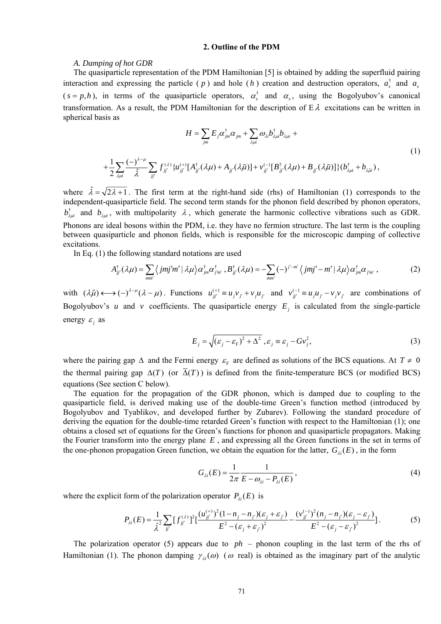# **2. Outline of the PDM**

### *A. Damping of hot GDR*

The quasiparticle representation of the PDM Hamiltonian [5] is obtained by adding the superfluid pairing interaction and expressing the particle ( $p$ ) and hole ( $h$ ) creation and destruction operators,  $a_s^{\dagger}$  and  $a_s$  $(s = p, h)$ , in terms of the quasiparticle operators,  $\alpha_s^{\dagger}$  and  $\alpha_s$ , using the Bogolyubov's canonical transformation. As a result, the PDM Hamiltonian for the description of  $E \lambda$  excitations can be written in spherical basis as

$$
H = \sum_{jm} E_j \alpha_{jm}^{\dagger} \alpha_{jm} + \sum_{\lambda \mu i} \omega_{\lambda i} b_{\lambda \mu i}^{\dagger} b_{\lambda \mu i} +
$$
  
+ 
$$
\frac{1}{2} \sum_{\lambda \mu i} \frac{(-)^{\lambda - \mu}}{\hat{\lambda}} \sum_{jj'} f_{jj'}^{(\lambda)} \{u_{jj'}^{(+)}[A_{jj'}^{+}(\lambda \mu) + A_{jj'}(\lambda \tilde{\mu})] + v_{jj'}^{(-)}[B_{jj'}^{+}(\lambda \mu) + B_{jj'}(\lambda \tilde{\mu})]\} (b_{\lambda \mu i}^{\dagger} + b_{\lambda \tilde{\mu} i}),
$$
(1)

where  $\hat{\lambda} = \sqrt{2\lambda + 1}$ . The first term at the right-hand side (rhs) of Hamiltonian (1) corresponds to the independent-quasiparticle field. The second term stands for the phonon field described by phonon operators,  $b^{\dagger}_{\lambda\mu i}$  and  $b_{\lambda\mu i}$ , with multipolarity  $\lambda$ , which generate the harmonic collective vibrations such as GDR. Phonons are ideal bosons within the PDM, i.e. they have no fermion structure. The last term is the coupling between quasiparticle and phonon fields, which is responsible for the microscopic damping of collective excitations.

In Eq. (1) the following standard notations are used

$$
A_{jj'}^{\dagger}(\lambda\mu) = \sum_{mn'} \langle jmj'm' | \lambda\mu \rangle \alpha_{jm}^{\dagger} \alpha_{jm'}^{\dagger}, B_{jj'}^{\dagger}(\lambda\mu) = -\sum_{mn'} (-)^{j'-m'} \langle jmj'-m' | \lambda\mu \rangle \alpha_{jm}^{\dagger} \alpha_{jm'}, \qquad (2)
$$

with  $(\lambda \tilde{\mu}) \longleftrightarrow (-)^{\lambda-\mu}(\lambda-\mu)$ . Functions  $u_{ji'}^{(+)} \equiv u_{j}v_{j'} + v_{j}u_{j'}$  and  $v_{ji'}^{(-)} \equiv u_{j}u_{j'} - v_{j}v_{j'}$  are combinations of Bogolyubov's *u* and *v* coefficients. The quasiparticle energy  $E_i$  is calculated from the single-particle energy  $\varepsilon$  as

$$
E_j = \sqrt{(\varepsilon_j - \varepsilon_{\rm F})^2 + \Delta^2}, \varepsilon_j = \varepsilon_j - Gv_j^2,
$$
 (3)

where the pairing gap  $\Delta$  and the Fermi energy  $\varepsilon_{\rm F}$  are defined as solutions of the BCS equations. At  $T \neq 0$ the thermal pairing gap  $\Delta(T)$  (or  $\overline{\Delta}(T)$ ) is defined from the finite-temperature BCS (or modified BCS) equations (See section C below).

The equation for the propagation of the GDR phonon, which is damped due to coupling to the quasiparticle field, is derived making use of the double-time Green's function method (introduced by Bogolyubov and Tyablikov, and developed further by Zubarev). Following the standard procedure of deriving the equation for the double-time retarded Green's function with respect to the Hamiltonian (1); one obtains a closed set of equations for the Green's functions for phonon and quasiparticle propagators. Making the Fourier transform into the energy plane *E* , and expressing all the Green functions in the set in terms of the one-phonon propagation Green function, we obtain the equation for the latter,  $G_{\lambda i}(E)$ , in the form

$$
G_{\lambda i}(E) = \frac{1}{2\pi} \frac{1}{E - \omega_{\lambda i} - P_{\lambda i}(E)},
$$
\n(4)

where the explicit form of the polarization operator  $P_{\lambda i}(E)$  is

$$
P_{\lambda i}(E) = \frac{1}{\hat{\lambda}^2} \sum_{jj'} [f_{jj'}^{(\lambda)}]^2 [\frac{(u_{jj'}^{(+)})^2 (1 - n_j - n_{j'})(\varepsilon_j + \varepsilon_{j'})}{E^2 - (\varepsilon_j + \varepsilon_{j'})^2} - \frac{(v_{jj'}^{(-)})^2 (n_j - n_{j'})(\varepsilon_j - \varepsilon_{j'})}{E^2 - (\varepsilon_j - \varepsilon_{j'})^2}].
$$
 (5)

The polarization operator (5) appears due to *ph* – phonon coupling in the last term of the rhs of Hamiltonian (1). The phonon damping  $\gamma_{ii}(\omega)$  ( $\omega$  real) is obtained as the imaginary part of the analytic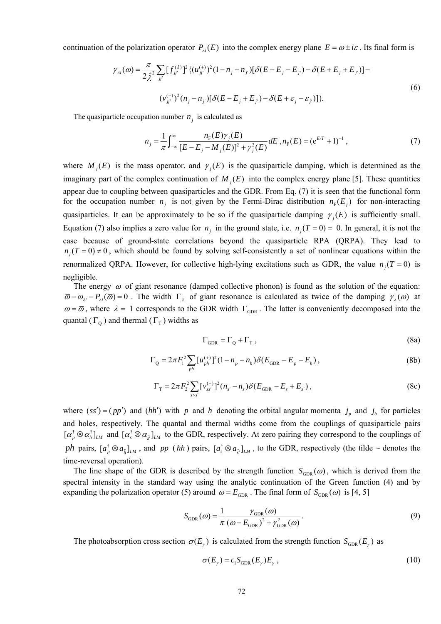continuation of the polarization operator  $P_{\lambda i}(E)$  into the complex energy plane  $E = \omega \pm i\varepsilon$ . Its final form is

$$
\gamma_{\lambda i}(\omega) = \frac{\pi}{2\hat{\lambda}^2} \sum_{jj'} [f_{jj'}^{(\lambda)}]^2 \{ (u_{jj'}^{(+)})^2 (1 - n_j - n_{j'}) [\delta(E - E_j - E_{j'}) - \delta(E + E_j + E_{j'})] - (v_{jj'}^{(-)})^2 (n_j - n_{j'}) [\delta(E - E_j + E_{j'}) - \delta(E + \varepsilon_j - \varepsilon_{j'})] \}.
$$
\n(6)

The quasiparticle occupation number  $n_i$  is calculated as

$$
n_{j} = \frac{1}{\pi} \int_{-\infty}^{\infty} \frac{n_{F}(E)\gamma_{j}(E)}{[E - E_{j} - M_{j}(E)]^{2} + \gamma_{j}^{2}(E)} dE, n_{F}(E) = (e^{ET} + 1)^{-1}, \qquad (7)
$$

where  $M_i(E)$  is the mass operator, and  $\gamma_i(E)$  is the quasiparticle damping, which is determined as the imaginary part of the complex continuation of  $M_i(E)$  into the complex energy plane [5]. These quantities appear due to coupling between quasiparticles and the GDR. From Eq. (7) it is seen that the functional form for the occupation number  $n_i$  is not given by the Fermi-Dirac distribution  $n_F (E_i)$  for non-interacting quasiparticles. It can be approximately to be so if the quasiparticle damping  $\gamma_i(E)$  is sufficiently small. Equation (7) also implies a zero value for  $n_i$  in the ground state, i.e.  $n_i(T = 0) = 0$ . In general, it is not the case because of ground-state correlations beyond the quasiparticle RPA (QRPA). They lead to  $n<sub>i</sub>(T = 0) \neq 0$ , which should be found by solving self-consistently a set of nonlinear equations within the renormalized QRPA. However, for collective high-lying excitations such as GDR, the value  $n<sub>i</sub>(T = 0)$  is negligible.

The energy  $\bar{\omega}$  of giant resonance (damped collective phonon) is found as the solution of the equation:  $\overline{\omega} - \omega_{\lambda i} - P_{\lambda i}(\overline{\omega}) = 0$ . The width  $\Gamma_{\lambda}$  of giant resonance is calculated as twice of the damping  $\gamma_{\lambda}(\omega)$  at  $\omega = \bar{\omega}$ , where  $\lambda = 1$  corresponds to the GDR width  $\Gamma_{GDR}$ . The latter is conveniently decomposed into the quantal ( $\Gamma_0$ ) and thermal ( $\Gamma_{\rm T}$ ) widths as

$$
\Gamma_{\text{GDR}} = \Gamma_{\text{Q}} + \Gamma_{\text{T}} \,, \tag{8a}
$$

$$
\Gamma_{\text{Q}} = 2\pi F_1^2 \sum_{ph} [u_{ph}^{(+)}]^2 (1 - n_p - n_h) \delta(E_{\text{GDR}} - E_p - E_h), \qquad (8b)
$$

$$
\Gamma_{\rm T} = 2\pi F_2^2 \sum_{s>s'} \left[ \nu_{ss'}^{(-)} \right]^2 (n_{s'} - n_s) \delta(E_{\rm GDR} - E_s + E_{s'}) \,, \tag{8c}
$$

where  $(ss') = (pp')$  and  $(hh')$  with *p* and *h* denoting the orbital angular momenta  $j_p$  and  $j_h$  for particles and holes, respectively. The quantal and thermal widths come from the couplings of quasiparticle pairs  $[\alpha_p^{\dagger} \otimes \alpha_h^{\dagger}]_{LM}$  and  $[\alpha_s^{\dagger} \otimes \alpha_{\tilde{s}}]_{LM}$  to the GDR, respectively. At zero pairing they correspond to the couplings of *ph* pairs,  $[a_p^{\dagger} \otimes a_{\tilde{h}}]_{LM}$ , and *pp* (*hh*) pairs,  $[a_s^{\dagger} \otimes a_{\tilde{g}}]_{LM}$ , to the GDR, respectively (the tilde ~ denotes the time-reversal operation).

The line shape of the GDR is described by the strength function  $S_{GDR}(\omega)$ , which is derived from the spectral intensity in the standard way using the analytic continuation of the Green function (4) and by expanding the polarization operator (5) around  $\omega = E_{GDR}$ . The final form of  $S_{GDR}(\omega)$  is [4, 5]

$$
S_{\text{GDR}}(\omega) = \frac{1}{\pi} \frac{\gamma_{\text{GDR}}(\omega)}{(\omega - E_{\text{GDR}})^2 + \gamma_{\text{GDR}}^2(\omega)}.
$$
(9)

The photoabsorption cross section  $\sigma(E_\nu)$  is calculated from the strength function  $S_{GDR}(E_\nu)$  as

$$
\sigma(E_{\gamma}) = c_1 S_{\text{GDR}}(E_{\gamma}) E_{\gamma}, \qquad (10)
$$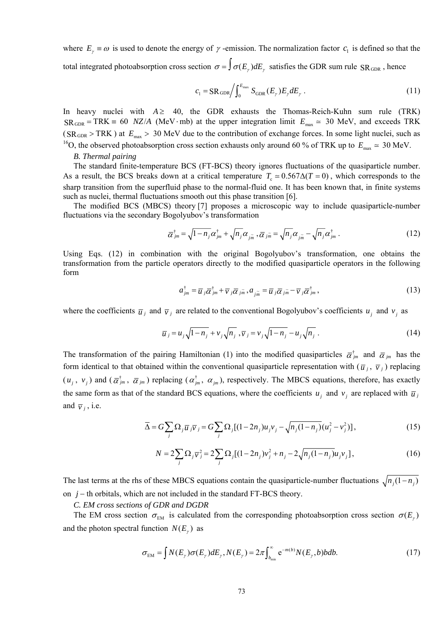where  $E_\gamma \equiv \omega$  is used to denote the energy of  $\gamma$ -emission. The normalization factor  $c_1$  is defined so that the total integrated photoabsorption cross section  $\sigma = \int \sigma(E_y) dE_y$  satisfies the GDR sum rule SR<sub>GDR</sub>, hence

$$
c_1 = \text{SR}_{\text{GDR}} \bigg/ \int_0^{E_{\text{max}}} S_{\text{GDR}}(E_\gamma) E_\gamma dE_\gamma \,. \tag{11}
$$

In heavy nuclei with  $A \geq 40$ , the GDR exhausts the Thomas-Reich-Kuhn sum rule (TRK)  $SR_{GDR} = TRK = 60$  *NZ/A* (MeV⋅mb) at the upper integration limit  $E_{\text{max}} \approx 30$  MeV, and exceeds TRK  $(SR_{GDR} > TRK)$  at  $E_{max} > 30$  MeV due to the contribution of exchange forces. In some light nuclei, such as <sup>16</sup>O, the observed photoabsorption cross section exhausts only around 60 % of TRK up to  $E_{\text{max}} \approx 30 \text{ MeV}$ .

#### *B. Thermal pairing*

The standard finite-temperature BCS (FT-BCS) theory ignores fluctuations of the quasiparticle number. As a result, the BCS breaks down at a critical temperature  $T_c \approx 0.567 \Delta (T = 0)$ , which corresponds to the sharp transition from the superfluid phase to the normal-fluid one. It has been known that, in finite systems such as nuclei, thermal fluctuations smooth out this phase transition [6].

The modified BCS (MBCS) theory [7] proposes a microscopic way to include quasiparticle-number fluctuations via the secondary Bogolyubov's transformation

$$
\overline{\alpha}_{jm}^{\dagger} = \sqrt{1 - n_j} \alpha_{jm}^{\dagger} + \sqrt{n_j} \alpha_{j\widetilde{m}}, \overline{\alpha}_{j\widetilde{m}} = \sqrt{n_j} \alpha_{j\widetilde{m}} - \sqrt{n_j} \alpha_{jm}^{\dagger}.
$$
 (12)

Using Eqs. (12) in combination with the original Bogolyubov's transformation, one obtains the transformation from the particle operators directly to the modified quasiparticle operators in the following form

$$
a_{jm}^{\dagger} = \overline{u}_{j}\overline{\alpha}_{jm}^{\dagger} + \overline{\nu}_{j}\overline{\alpha}_{jm}, a_{j\overline{m}} = \overline{u}_{j}\overline{\alpha}_{jm} - \overline{\nu}_{j}\overline{\alpha}_{jm}^{\dagger}, \qquad (13)
$$

where the coefficients  $\overline{u}_i$  and  $\overline{v}_j$  are related to the conventional Bogolyubov's coefficients  $u_i$  and  $v_j$  as

$$
\overline{u}_j = u_j \sqrt{1 - n_j} + v_j \sqrt{n_j}, \overline{v}_j = v_j \sqrt{1 - n_j} - u_j \sqrt{n_j}.
$$
 (14)

The transformation of the pairing Hamiltonian (1) into the modified quasiparticles  $\bar{\alpha}_{im}^{\dagger}$  and  $\bar{\alpha}_{im}$  has the form identical to that obtained within the conventional quasiparticle representation with  $(\bar{u}_j, \bar{v}_j)$  replacing  $(u_i, v_j)$  and  $(\bar{\alpha}_{jm}^{\dagger}, \bar{\alpha}_{jm})$  replacing  $(\alpha_{jm}^{\dagger}, \alpha_{jm})$ , respectively. The MBCS equations, therefore, has exactly the same form as that of the standard BCS equations, where the coefficients  $u_j$  and  $v_j$  are replaced with  $\bar{u}_j$ and  $\overline{v}_i$ , i.e.

$$
\overline{\Delta} = G \sum_{j} \Omega_{j} \overline{u}_{j} \overline{v}_{j} = G \sum_{j} \Omega_{j} [(1 - 2n_{j}) u_{j} v_{j} - \sqrt{n_{j}(1 - n_{j})} (u_{j}^{2} - v_{j}^{2})], \qquad (15)
$$

$$
N = 2\sum_{j} \Omega_{j} \overline{v}_{j}^{2} = 2\sum_{j} \Omega_{j} [(1 - 2n_{j})v_{j}^{2} + n_{j} - 2\sqrt{n_{j}(1 - n_{j})}u_{j}v_{j}],
$$
\n(16)

The last terms at the rhs of these MBCS equations contain the quasiparticle-number fluctuations  $\sqrt{n_i(1-n_i)}$ on *j* − th orbitals, which are not included in the standard FT-BCS theory.

*C. EM cross sections of GDR and DGDR*

The EM cross section  $\sigma_{\text{EM}}$  is calculated from the corresponding photoabsorption cross section  $\sigma(E_r)$ and the photon spectral function  $N(E_y)$  as

$$
\sigma_{EM} = \int N(E_{\gamma})\sigma(E_{\gamma})dE_{\gamma}, N(E_{\gamma}) = 2\pi \int_{b_{\min}}^{\infty} e^{-m(b)}N(E_{\gamma},b)bdb.
$$
\n(17)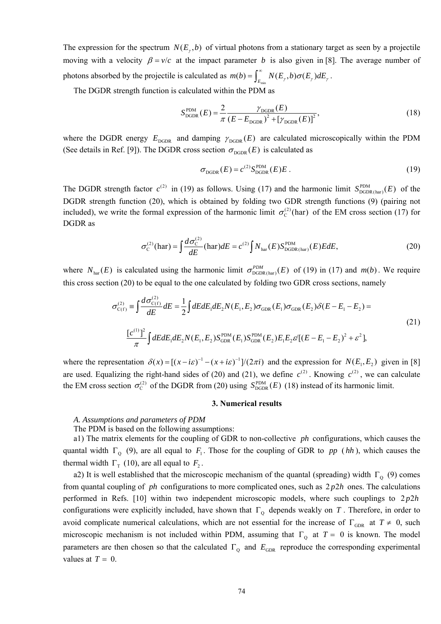The expression for the spectrum  $N(E_x, b)$  of virtual photons from a stationary target as seen by a projectile moving with a velocity  $\beta = v/c$  at the impact parameter *b* is also given in [8]. The average number of photons absorbed by the projectile is calculated as  $m(b) = \int_{E_{min}}^{\infty} N(E_y, b) \sigma(E_y) dE_y$ .

The DGDR strength function is calculated within the PDM as

$$
S_{\text{DGBR}}^{\text{PDM}}(E) = \frac{2}{\pi} \frac{\gamma_{\text{DGBR}}(E)}{(E - E_{\text{DGBR}})^2 + [\gamma_{\text{DGBR}}(E)]^2},\tag{18}
$$

where the DGDR energy  $E_{\text{DGDR}}$  and damping  $\gamma_{\text{DGDR}}(E)$  are calculated microscopically within the PDM (See details in Ref. [9]). The DGDR cross section  $\sigma_{\text{ncnp}}(E)$  is calculated as

$$
\sigma_{\text{DGDR}}(E) = c^{(2)} S_{\text{DGDR}}^{\text{PDM}}(E) E. \tag{19}
$$

The DGDR strength factor  $c^{(2)}$  in (19) as follows. Using (17) and the harmonic limit  $S_{\text{DGDR(har)}}^{\text{PDM}}(E)$  of the DGDR strength function (20), which is obtained by folding two GDR strength functions (9) (pairing not included), we write the formal expression of the harmonic limit  $\sigma_c^{(2)}$  (har) of the EM cross section (17) for DGDR as

$$
\sigma_{\rm C}^{(2)}(\text{har}) = \int \frac{d\sigma_{\rm C}^{(2)}}{dE}(\text{har})dE = c^{(2)} \int N_{\text{har}}(E) S_{\text{DGBR(har)}}^{\text{PDM}}(E) E dE, \tag{20}
$$

where  $N_{\text{har}}(E)$  is calculated using the harmonic limit  $\sigma_{\text{DGBR(har)}}^{PDM}(E)$  of (19) in (17) and  $m(b)$ . We require this cross section (20) to be equal to the one calculated by folding two GDR cross sections, namely

$$
\sigma_{C(f)}^{(2)} = \int \frac{d\sigma_{C(f)}^{(2)}}{dE} dE = \frac{1}{2} \int dE dE_1 dE_2 N(E_1, E_2) \sigma_{GDR}(E_1) \sigma_{GDR}(E_2) \delta(E - E_1 - E_2) =
$$
\n
$$
\frac{[c^{(1)}]^2}{\pi} \int dE dE_1 dE_2 N(E_1, E_2) S_{GDR}^{\text{PDM}}(E_1) S_{GDR}^{\text{PDM}}(E_2) E_1 E_2 \epsilon' [(E - E_1 - E_2)^2 + \epsilon^2],
$$
\n(21)

where the representation  $\delta(x) = [(x - i\varepsilon)^{-1} - (x + i\varepsilon)^{-1}]/(2\pi i)$  and the expression for  $N(E_1, E_2)$  given in [8] are used. Equalizing the right-hand sides of (20) and (21), we define  $c^{(2)}$ . Knowing  $c^{(2)}$ , we can calculate the EM cross section  $\sigma_C^{(2)}$  of the DGDR from (20) using  $S_{DGDR}^{PDM}(E)$  (18) instead of its harmonic limit.

### **3. Numerical results**

# *A. Assumptions and parameters of PDM*

The PDM is based on the following assumptions:

a1) The matrix elements for the coupling of GDR to non-collective *ph* configurations, which causes the quantal width  $\Gamma_0$  (9), are all equal to  $F_1$ . Those for the coupling of GDR to *pp* (*hh*), which causes the thermal width  $\Gamma_{\text{T}}$  (10), are all equal to  $F_2$ .

a2) It is well established that the microscopic mechanism of the quantal (spreading) width  $\Gamma_0$  (9) comes from quantal coupling of *ph* configurations to more complicated ones, such as  $2p2h$  ones. The calculations performed in Refs. [10] within two independent microscopic models, where such couplings to  $2p2h$ configurations were explicitly included, have shown that  $\Gamma_0$  depends weakly on *T*. Therefore, in order to avoid complicate numerical calculations, which are not essential for the increase of  $\Gamma_{\text{GDR}}$  at  $T \neq 0$ , such microscopic mechanism is not included within PDM, assuming that  $\Gamma_0$  at  $T = 0$  is known. The model parameters are then chosen so that the calculated  $\Gamma_{\text{o}}$  and  $E_{\text{GDR}}$  reproduce the corresponding experimental values at  $T = 0$ .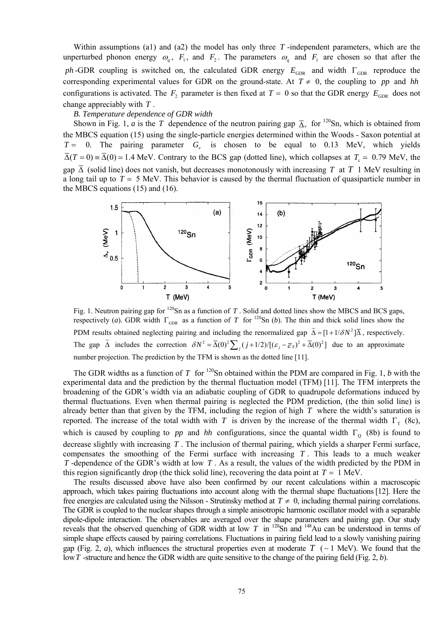Within assumptions (a1) and (a2) the model has only three *T* -independent parameters, which are the unperturbed phonon energy  $\omega_q$ ,  $F_1$ , and  $F_2$ . The parameters  $\omega_q$  and  $F_1$  are chosen so that after the *ph* -GDR coupling is switched on, the calculated GDR energy  $E_{GDR}$  and width Γ<sub>GDR</sub> reproduce the corresponding experimental values for GDR on the ground-state. At  $T \neq 0$ , the coupling to pp and *hh* configurations is activated. The  $F_2$  parameter is then fixed at  $T = 0$  so that the GDR energy  $E_{GDR}$  does not change appreciably with *T* .

# *B. Temperature dependence of GDR width*

Shown in Fig. 1, *a* is the *T* dependence of the neutron pairing gap  $\overline{\Delta}_v$  for <sup>120</sup>Sn, which is obtained from the MBCS equation (15) using the single-particle energies determined within the Woods - Saxon potential at  $T = 0$ . The pairing parameter  $G_v$  is chosen to be equal to 0.13 MeV, which yields  $\overline{\Delta}(T = 0) = \overline{\Delta}(0) \approx 1.4$  MeV. Contrary to the BCS gap (dotted line), which collapses at  $T_c \approx 0.79$  MeV, the gap  $\overline{\Delta}$  (solid line) does not vanish, but decreases monotonously with increasing *T* at *T* 1 MeV resulting in a long tail up to  $T \approx 5$  MeV. This behavior is caused by the thermal fluctuation of quasiparticle number in the MBCS equations (15) and (16).



Fig. 1. Neutron pairing gap for <sup>120</sup>Sn as a function of *T*. Solid and dotted lines show the MBCS and BCS gaps, respectively (*a*). GDR width  $\Gamma_{GDR}$  as a function of *T* for <sup>120</sup>Sn (*b*). The thin and thick solid lines show the PDM results obtained neglecting pairing and including the renormalized gap  $\tilde{\Delta} = [1 + 1/\delta N^2] \overline{\Delta}$ , respectively. The gap  $\tilde{\Delta}$  includes the correction  $\delta N^2 = \overline{\Delta}(0)^2 \sum_j (j + 1/2) / [(\varepsilon_j - \overline{\varepsilon}_F)^2 + \overline{\Delta}(0)^2]$  due to an approximate number projection. The prediction by the TFM is shown as the dotted line [11].

The GDR widths as a function of *T* for <sup>120</sup>Sn obtained within the PDM are compared in Fig. 1, *b* with the experimental data and the prediction by the thermal fluctuation model (TFM) [11]. The TFM interprets the broadening of the GDR's width via an adiabatic coupling of GDR to quadrupole deformations induced by thermal fluctuations. Even when thermal pairing is neglected the PDM prediction, (the thin solid line) is already better than that given by the TFM, including the region of high *T* where the width's saturation is reported. The increase of the total width with *T* is driven by the increase of the thermal width  $\Gamma_{T}$  (8c), which is caused by coupling to *pp* and *hh* configurations, since the quantal width  $\Gamma_0$  (8b) is found to decrease slightly with increasing *T* . The inclusion of thermal pairing, which yields a sharper Fermi surface, compensates the smoothing of the Fermi surface with increasing *T* . This leads to a much weaker *T* -dependence of the GDR's width at low *T* . As a result, the values of the width predicted by the PDM in this region significantly drop (the thick solid line), recovering the data point at  $T = 1$  MeV.

The results discussed above have also been confirmed by our recent calculations within a macroscopic approach, which takes pairing fluctuations into account along with the thermal shape fluctuations [12]. Here the free energies are calculated using the Nilsson - Strutinsky method at  $T \neq 0$ , including thermal pairing correlations. The GDR is coupled to the nuclear shapes through a simple anisotropic harmonic oscillator model with a separable dipole-dipole interaction. The observables are averaged over the shape parameters and pairing gap. Our study reveals that the observed quenching of GDR width at low  $T$  in  $^{120}$ Sn and  $^{148}$ Au can be understood in terms of simple shape effects caused by pairing correlations. Fluctuations in pairing field lead to a slowly vanishing pairing gap (Fig. 2, *a*), which influences the structural properties even at moderate *T* ( ∼ 1 MeV). We found that the low*T* -structure and hence the GDR width are quite sensitive to the change of the pairing field (Fig. 2, *b*).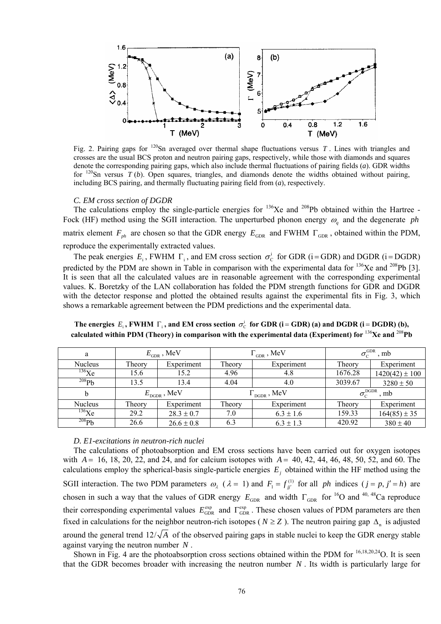

Fig. 2. Pairing gaps for  $120$ Sn averaged over thermal shape fluctuations versus T. Lines with triangles and crosses are the usual BCS proton and neutron pairing gaps, respectively, while those with diamonds and squares denote the corresponding pairing gaps, which also include thermal fluctuations of pairing fields (*a*). GDR widths for  $120$ Sn versus *T* (*b*). Open squares, triangles, and diamonds denote the widths obtained without pairing, including BCS pairing, and thermally fluctuating pairing field from (*a*), respectively.

## *C. EM cross section of DGDR*

The calculations employ the single-particle energies for <sup>136</sup>Xe and <sup>208</sup>Pb obtained within the Hartree -Fock (HF) method using the SGII interaction. The unperturbed phonon energy  $\omega_q$  and the degenerate *ph* matrix element  $F_{ph}$  are chosen so that the GDR energy  $E_{GDR}$  and FWHM  $\Gamma_{GDR}$ , obtained within the PDM, reproduce the experimentally extracted values.

The peak energies  $E_i$ , FWHM  $\Gamma_i$ , and EM cross section  $\sigma_c^i$  for GDR (i = GDR) and DGDR (i = DGDR) predicted by the PDM are shown in Table in comparison with the experimental data for  $^{136}Xe$  and  $^{208}Pb$  [3]. It is seen that all the calculated values are in reasonable agreement with the corresponding experimental values. K. Boretzky of the LAN collaboration has folded the PDM strength functions for GDR and DGDR with the detector response and plotted the obtained results against the experimental fits in Fig. 3, which shows a remarkable agreement between the PDM predictions and the experimental data.

| a              | $E_{\text{GDR}}$ , MeV |                | $\Gamma_{\text{GDR}}$ , MeV       |               | $\sigma_{\rm\scriptscriptstyle C}^{\rm GDR}$<br>. mb |                    |
|----------------|------------------------|----------------|-----------------------------------|---------------|------------------------------------------------------|--------------------|
| <b>Nucleus</b> | Theory                 | Experiment     | Theory                            | Experiment    | Theory                                               | Experiment         |
| $^{136}$ Xe    | 15.6                   | 15.2           | 4.96                              | 4.8           | 1676.28                                              | $1420(42) \pm 100$ |
| 208Pb          | 13.5                   | 13.4           | 4.04                              | 4.0           | 3039.67                                              | $3280 \pm 50$      |
|                | $E_{\rm DGBR}$ , MeV   |                | $\rm{U}_{\rm{DGDR}}$ , $\rm{MeV}$ |               | $\sigma_{\rm C}^{\rm DGDR}$<br>. mb                  |                    |
| <b>Nucleus</b> | Theory                 | Experiment     | Theory                            | Experiment    | Theory                                               | Experiment         |
| $^{136}$ Xe    | 29.2                   | $28.3 \pm 0.7$ | 7.0                               | $6.3 \pm 1.6$ | 159.33                                               | $164(85) \pm 35$   |
| 208Pb          | 26.6                   | $26.6 \pm 0.8$ | 6.3                               | $6.3 \pm 1.3$ | 420.92                                               | $380 \pm 40$       |

The energies  $E_i$ , FWHM  $\Gamma_i$ , and EM cross section  $\sigma_C^i$  for GDR (i = GDR) (a) and DGDR (i = DGDR) (b), **calculated within PDM (Theory) in comparison with the experimental data (Experiment) for** <sup>136</sup>**Xe and** <sup>208</sup>**Pb**

### *D. E1-excitations in neutron-rich nuclei*

The calculations of photoabsorption and EM cross sections have been carried out for oxygen isotopes with *A* = 16, 18, 20, 22, and 24, and for calcium isotopes with *A* = 40, 42, 44, 46, 48, 50, 52, and 60. The calculations employ the spherical-basis single-particle energies  $E_j$  obtained within the HF method using the SGII interaction. The two PDM parameters  $\omega_{\lambda}$  ( $\lambda = 1$ ) and  $F_1 = f_{ji'}^{(1)}$  for all *ph* indices ( $j = p, j' = h$ ) are chosen in such a way that the values of GDR energy  $E_{GDR}$  and width  $\Gamma_{GDR}$  for <sup>16</sup>O and <sup>40, 48</sup>Ca reproduce their corresponding experimental values  $E_{GDR}^{\text{exp}}$  and  $\Gamma_{GDR}^{\text{exp}}$ . These chosen values of PDM parameters are then fixed in calculations for the neighbor neutron-rich isotopes ( $N \geq Z$ ). The neutron pairing gap  $\Delta_n$  is adjusted around the general trend  $12/\sqrt{A}$  of the observed pairing gaps in stable nuclei to keep the GDR energy stable against varying the neutron number *N* .

Shown in Fig. 4 are the photoabsorption cross sections obtained within the PDM for <sup>16,18,20,24</sup>O. It is seen that the GDR becomes broader with increasing the neutron number  $N$ . Its width is particularly large for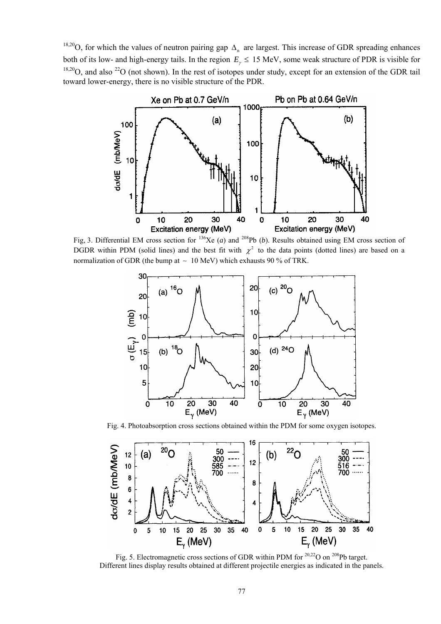<sup>18,20</sup>O, for which the values of neutron pairing gap  $\Delta_n$  are largest. This increase of GDR spreading enhances both of its low- and high-energy tails. In the region *E*<sup>γ</sup> ≤ 15 MeV, some weak structure of PDR is visible for  $18,20$ O, and also  $22$ O (not shown). In the rest of isotopes under study, except for an extension of the GDR tail toward lower-energy, there is no visible structure of the PDR.



Fig, 3. Differential EM cross section for <sup>136</sup>Xe (*a*) and <sup>208</sup>Pb (*b*). Results obtained using EM cross section of DGDR within PDM (solid lines) and the best fit with  $\chi^2$  to the data points (dotted lines) are based on a normalization of GDR (the bump at  $\sim 10$  MeV) which exhausts 90 % of TRK.



Fig. 4. Photoabsorption cross sections obtained within the PDM for some oxygen isotopes.



Fig. 5. Electromagnetic cross sections of GDR within PDM for  $20,22$ O on  $208$ Pb target. Different lines display results obtained at different projectile energies as indicated in the panels.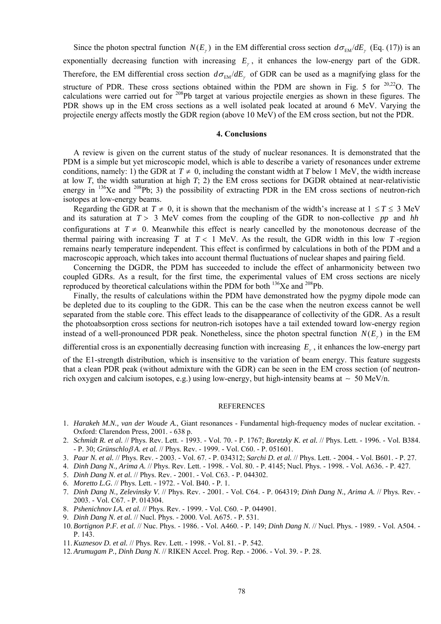Since the photon spectral function  $N(E_y)$  in the EM differential cross section  $d\sigma_{EM}/dE_y$  (Eq. (17)) is an exponentially decreasing function with increasing  $E<sub>y</sub>$ , it enhances the low-energy part of the GDR. Therefore, the EM differential cross section  $d\sigma_{EM}/dE_r$  of GDR can be used as a magnifying glass for the structure of PDR. These cross sections obtained within the PDM are shown in Fig. 5 for  $20,22$ O. The calculations were carried out for <sup>208</sup>Pb target at various projectile energies as shown in these figures. The PDR shows up in the EM cross sections as a well isolated peak located at around 6 MeV. Varying the projectile energy affects mostly the GDR region (above 10 MeV) of the EM cross section, but not the PDR.

# **4. Conclusions**

A review is given on the current status of the study of nuclear resonances. It is demonstrated that the PDM is a simple but yet microscopic model, which is able to describe a variety of resonances under extreme conditions, namely: 1) the GDR at  $T \neq 0$ , including the constant width at *T* below 1 MeV, the width increase at low *T*, the width saturation at high *T*; 2) the EM cross sections for DGDR obtained at near-relativistic energy in <sup>136</sup>Xe and <sup>208</sup>Pb; 3) the possibility of extracting PDR in the EM cross sections of neutron-rich isotopes at low-energy beams.

Regarding the GDR at  $T \neq 0$ , it is shown that the mechanism of the width's increase at  $1 \le T \le 3$  MeV and its saturation at *T* > 3 MeV comes from the coupling of the GDR to non-collective *pp* and *hh* configurations at  $T \neq 0$ . Meanwhile this effect is nearly cancelled by the monotonous decrease of the thermal pairing with increasing  $T$  at  $T < 1$  MeV. As the result, the GDR width in this low  $T$ -region remains nearly temperature independent. This effect is confirmed by calculations in both of the PDM and a macroscopic approach, which takes into account thermal fluctuations of nuclear shapes and pairing field.

Concerning the DGDR, the PDM has succeeded to include the effect of anharmonicity between two coupled GDRs. As a result, for the first time, the experimental values of EM cross sections are nicely reproduced by theoretical calculations within the PDM for both 136Xe and 208Pb.

Finally, the results of calculations within the PDM have demonstrated how the pygmy dipole mode can be depleted due to its coupling to the GDR. This can be the case when the neutron excess cannot be well separated from the stable core. This effect leads to the disappearance of collectivity of the GDR. As a result the photoabsorption cross sections for neutron-rich isotopes have a tail extended toward low-energy region instead of a well-pronounced PDR peak. Nonetheless, since the photon spectral function  $N(E_y)$  in the EM

differential cross is an exponentially decreasing function with increasing *E*<sup>γ</sup> , it enhances the low-energy part

of the E1-strength distribution, which is insensitive to the variation of beam energy. This feature suggests that a clean PDR peak (without admixture with the GDR) can be seen in the EM cross section (of neutronrich oxygen and calcium isotopes, e.g.) using low-energy, but high-intensity beams at  $~> 50$  MeV/n.

#### **REFERENCES**

- 1. *Harakeh M.N., van der Woude A.*, Giant resonances Fundamental high-frequency modes of nuclear excitation. Oxford: Clarendon Press, 2001. - 638 p.
- 2. *Schmidt R. et al.* // Phys. Rev. Lett. 1993. Vol. 70. P. 1767; *Boretzky K. et al.* // Phys. Lett. 1996. Vol. B384. - P. 30; *Grünschlo*β *A. et al.* // Phys. Rev. - 1999. - Vol. C60. - P. 051601.
- 3. *Paar N. et al.* // Phys. Rev. 2003. Vol. 67. P. 034312; *Sarchi D. et al.* // Phys. Lett. 2004. Vol. B601. P. 27.
- 4. *Dinh Dang N., Arima A.* // Phys. Rev. Lett. 1998. Vol. 80. P. 4145; Nucl. Phys. 1998. Vol. A636. P. 427.
- 5. *Dinh Dang N. et al.* // Phys. Rev. 2001. Vol. C63. P. 044302.
- 6. *Moretto L.G.* // Phys. Lett. 1972. Vol. B40. P. 1.
- 7. *Dinh Dang N., Zelevinsky V.* // Phys. Rev. 2001. Vol. C64. P. 064319; *Dinh Dang N., Arima A.* // Phys. Rev. 2003. - Vol. C67. - P. 014304.
- 8. *Pshenichnov I.A. et al.* // Phys. Rev. 1999. Vol. C60. P. 044901.
- 9. *Dinh Dang N. et al.* // Nucl. Phys. 2000. Vol. A675. P. 531.
- 10. *Bortignon P.F. et al.* // Nuc. Phys. 1986. Vol. A460. P. 149; *Dinh Dang N.* // Nucl. Phys. 1989. Vol. A504. P. 143.
- 11. *Kuznesov D. et al.* // Phys. Rev. Lett. 1998. Vol. 81. P. 542.
- 12. *Arumugam P., Dinh Dang N.* // RIKEN Accel. Prog. Rep. 2006. Vol. 39. P. 28.